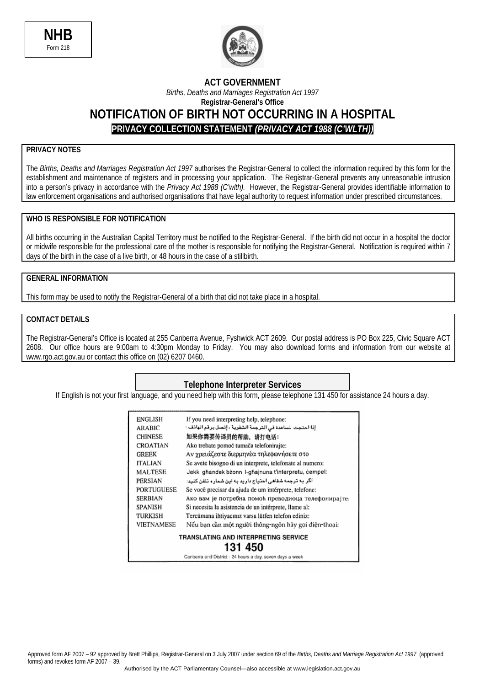



## **ACT GOVERNMENT**  *Births, Deaths and Marriages Registration Act 1997*  **Registrar-General's Office NOTIFICATION OF BIRTH NOT OCCURRING IN A HOSPITAL PRIVACY COLLECTION STATEMENT** *(PRIVACY ACT 1988 (C'WLTH))*

### **PRIVACY NOTES**

The *Births, Deaths and Marriages Registration Act 1997* authorises the Registrar-General to collect the information required by this form for the establishment and maintenance of registers and in processing your application. The Registrar-General prevents any unreasonable intrusion into a person's privacy in accordance with the *Privacy Act 1988 (C'wlth).* However, the Registrar-General provides identifiable information to law enforcement organisations and authorised organisations that have legal authority to request information under prescribed circumstances.

#### **WHO IS RESPONSIBLE FOR NOTIFICATION**

All births occurring in the Australian Capital Territory must be notified to the Registrar-General. If the birth did not occur in a hospital the doctor or midwife responsible for the professional care of the mother is responsible for notifying the Registrar-General. Notification is required within 7 days of the birth in the case of a live birth, or 48 hours in the case of a stillbirth.

#### **GENERAL INFORMATION**

This form may be used to notify the Registrar-General of a birth that did not take place in a hospital.

#### **CONTACT DETAILS**

The Registrar-General's Office is located at 255 Canberra Avenue, Fyshwick ACT 2609. Our postal address is PO Box 225, Civic Square ACT 2608. Our office hours are 9:00am to 4:30pm Monday to Friday. You may also download forms and information from our website at www.rgo.act.gov.au or contact this office on (02) 6207 0460.

#### **Telephone Interpreter Services**

If English is not your first language, and you need help with this form, please telephone 131 450 for assistance 24 hours a day.

| ENGLISH                                     | If you need interpreting help, telephone:                |  |  |
|---------------------------------------------|----------------------------------------------------------|--|--|
| <b>ARABIC</b>                               | إذا احتجت لساعدة في الترجمة الشفوية ، إنصل برقم الهاتف : |  |  |
| <b>CHINESE</b>                              | 如果你需要传译员的帮助,请打电话:                                        |  |  |
| CROATIAN                                    | Ako trebate pomoć tumača telefonirajte:                  |  |  |
| <b>GREEK</b>                                | Αν χρειάζεστε διερμηνέα τηλεφωνήσετε στο                 |  |  |
| <b>ITALIAN</b>                              | Se avete bisogno di un interprete, telefonate al numero: |  |  |
| <b>MALTESE</b>                              | Jekk ghandek bzonn I-ghajnuna t'interpretu, cempel:      |  |  |
| PERSIAN                                     | اگر به ترجمه شفاهی احتیاج دارید به این شمار ه تلفن کنید: |  |  |
| <b>PORTUGUESE</b>                           | Se você precisar da ajuda de um intérprete, telefone:    |  |  |
| <b>SERBIAN</b>                              | Ако вам је потребна помоћ преводиоца телефонирајте:      |  |  |
| SPANISH                                     | Si necesita la asistencia de un intérprete, llame al:    |  |  |
| TURKISH                                     | Tercümana ihtiyacınız varsa lütfen telefon ediniz:       |  |  |
| <b>VIETNAMESE</b>                           | Nếu bạn cần một người thông-ngôn hãy gọi điện-thoại:     |  |  |
| TRANSLATING AND INTERPRETING SERVICE<br>131 |                                                          |  |  |

Canberra and District - 24 hours a day, seven days a week

Approved form AF 2007 – 92 approved by Brett Phillips, Registrar-General on 3 July 2007 under section 69 of the *Births, Deaths and Marriage Registration Act 1997* (approved forms) and revokes form AF 2007 – 39.